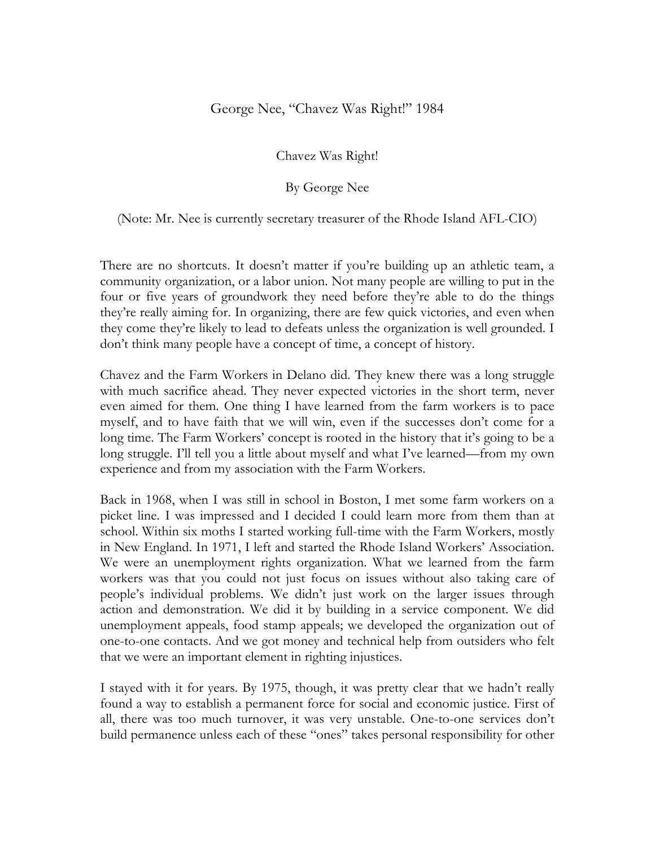## George Nee, "Chavez Was Right!" 1984

Chavez Was Right!

By George Nee

(Note: Mr. Nee is currently secretary treasurer of the Rhode Island AFL-CIO)

There are no shortcuts. It doesn't matter if you're building up an athletic team, a community organization, or a labor union. Not many people are willing to put in the four or five years of groundwork they need before they're able to do the things they're really aiming for. In organizing, there are few quick victories, and even when they come they're likely to lead to defeats unless the organization is well grounded. I don't think many people have a concept of time, a concept of history.

Chavez and the Farm Workers in Delano did. They knew there was a long struggle with much sacrifice ahead. They never expected victories in the short term, never even aimed for them. One thing I have learned from the farm workers is to pace myself, and to have faith that we will win, even if the successes don't come for a long time. The Farm Workers' concept is rooted in the history that it's going to be a long struggle. I'll tell you a little about myself and what I've learned—from my own experience and from my association with the Farm Workers.

Back in 1968, when I was still in school in Boston, I met some farm workers on a picket line. I was impressed and I decided I could learn more from them than at school. Within six moths I started working full-time with the Farm Workers, mostly in New England. In 1971, I left and started the Rhode Island Workers' Association. We were an unemployment rights organization. What we learned from the farm workers was that you could not just focus on issues without also taking care of people's individual problems. We didn't just work on the larger issues through action and demonstration. We did it by building in a service component. We did unemployment appeals, food stamp appeals; we developed the organization out of one-to-one contacts. And we got money and technical help from outsiders who felt that we were an important element in righting injustices.

I stayed with it for years. By 1975, though, it was pretty clear that we hadn't really found a way to establish a permanent force for social and economic justice. First of all, there was too much turnover, it was very unstable. One-to-one services don't build permanence unless each of these "ones" takes personal responsibility for other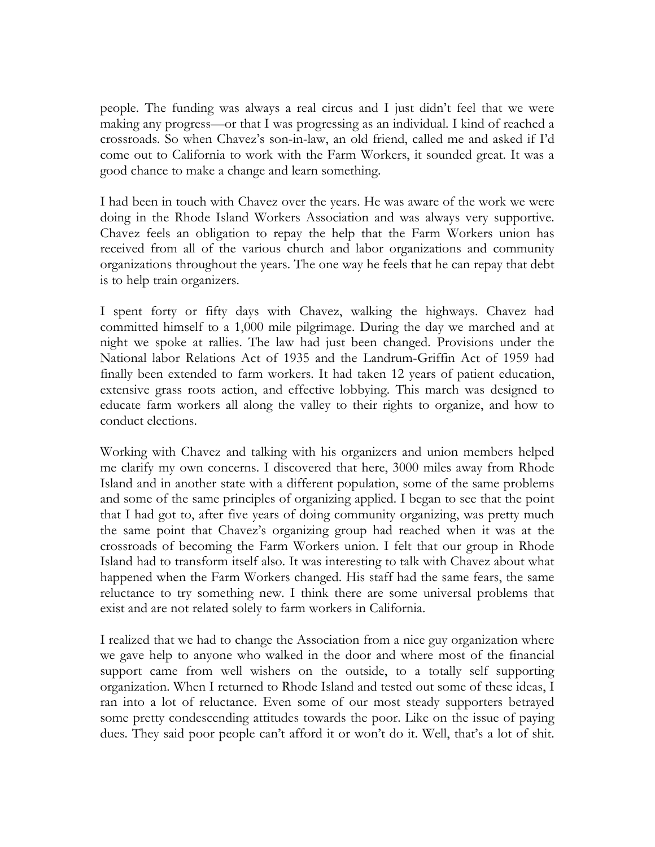people. The funding was always a real circus and I just didn't feel that we were making any progress—or that I was progressing as an individual. I kind of reached a crossroads. So when Chavez's son-in-law, an old friend, called me and asked if I'd come out to California to work with the Farm Workers, it sounded great. It was a good chance to make a change and learn something.

I had been in touch with Chavez over the years. He was aware of the work we were doing in the Rhode Island Workers Association and was always very supportive. Chavez feels an obligation to repay the help that the Farm Workers union has received from all of the various church and labor organizations and community organizations throughout the years. The one way he feels that he can repay that debt is to help train organizers.

I spent forty or fifty days with Chavez, walking the highways. Chavez had committed himself to a 1,000 mile pilgrimage. During the day we marched and at night we spoke at rallies. The law had just been changed. Provisions under the National labor Relations Act of 1935 and the Landrum-Griffin Act of 1959 had finally been extended to farm workers. It had taken 12 years of patient education, extensive grass roots action, and effective lobbying. This march was designed to educate farm workers all along the valley to their rights to organize, and how to conduct elections.

Working with Chavez and talking with his organizers and union members helped me clarify my own concerns. I discovered that here, 3000 miles away from Rhode Island and in another state with a different population, some of the same problems and some of the same principles of organizing applied. I began to see that the point that I had got to, after five years of doing community organizing, was pretty much the same point that Chavez's organizing group had reached when it was at the crossroads of becoming the Farm Workers union. I felt that our group in Rhode Island had to transform itself also. It was interesting to talk with Chavez about what happened when the Farm Workers changed. His staff had the same fears, the same reluctance to try something new. I think there are some universal problems that exist and are not related solely to farm workers in California.

I realized that we had to change the Association from a nice guy organization where we gave help to anyone who walked in the door and where most of the financial support came from well wishers on the outside, to a totally self supporting organization. When I returned to Rhode Island and tested out some of these ideas, I ran into a lot of reluctance. Even some of our most steady supporters betrayed some pretty condescending attitudes towards the poor. Like on the issue of paying dues. They said poor people can't afford it or won't do it. Well, that's a lot of shit.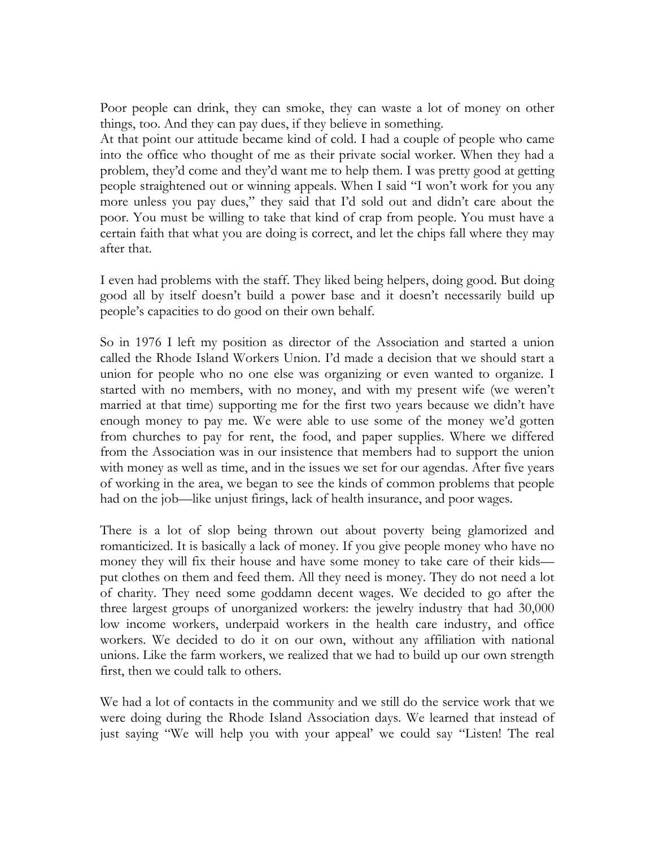Poor people can drink, they can smoke, they can waste a lot of money on other things, too. And they can pay dues, if they believe in something.

At that point our attitude became kind of cold. I had a couple of people who came into the office who thought of me as their private social worker. When they had a problem, they'd come and they'd want me to help them. I was pretty good at getting people straightened out or winning appeals. When I said "I won't work for you any more unless you pay dues," they said that I'd sold out and didn't care about the poor. You must be willing to take that kind of crap from people. You must have a certain faith that what you are doing is correct, and let the chips fall where they may after that.

I even had problems with the staff. They liked being helpers, doing good. But doing good all by itself doesn't build a power base and it doesn't necessarily build up people's capacities to do good on their own behalf.

So in 1976 I left my position as director of the Association and started a union called the Rhode Island Workers Union. I'd made a decision that we should start a union for people who no one else was organizing or even wanted to organize. I started with no members, with no money, and with my present wife (we weren't married at that time) supporting me for the first two years because we didn't have enough money to pay me. We were able to use some of the money we'd gotten from churches to pay for rent, the food, and paper supplies. Where we differed from the Association was in our insistence that members had to support the union with money as well as time, and in the issues we set for our agendas. After five years of working in the area, we began to see the kinds of common problems that people had on the job—like unjust firings, lack of health insurance, and poor wages.

There is a lot of slop being thrown out about poverty being glamorized and romanticized. It is basically a lack of money. If you give people money who have no money they will fix their house and have some money to take care of their kids put clothes on them and feed them. All they need is money. They do not need a lot of charity. They need some goddamn decent wages. We decided to go after the three largest groups of unorganized workers: the jewelry industry that had 30,000 low income workers, underpaid workers in the health care industry, and office workers. We decided to do it on our own, without any affiliation with national unions. Like the farm workers, we realized that we had to build up our own strength first, then we could talk to others.

We had a lot of contacts in the community and we still do the service work that we were doing during the Rhode Island Association days. We learned that instead of just saying "We will help you with your appeal' we could say "Listen! The real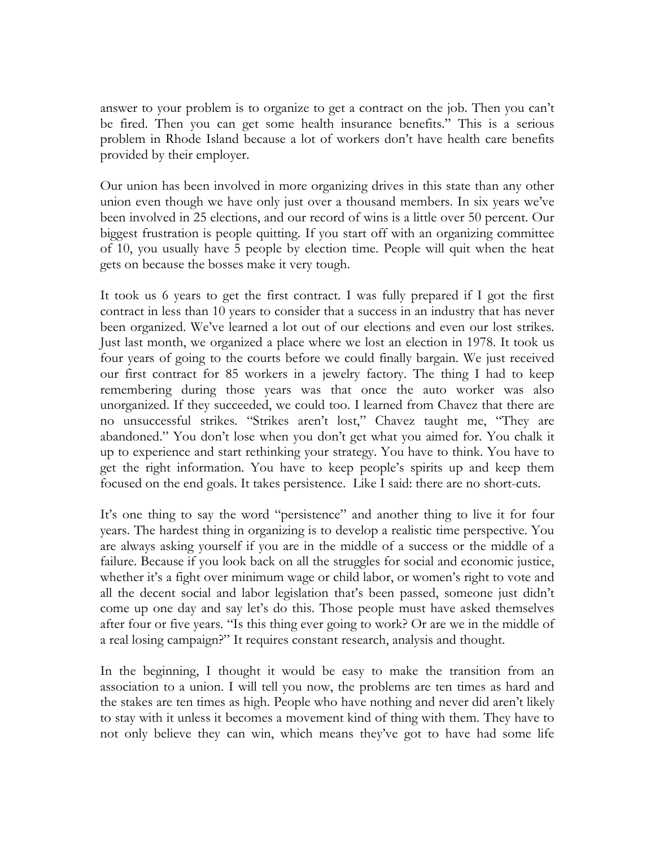answer to your problem is to organize to get a contract on the job. Then you can't be fired. Then you can get some health insurance benefits." This is a serious problem in Rhode Island because a lot of workers don't have health care benefits provided by their employer.

Our union has been involved in more organizing drives in this state than any other union even though we have only just over a thousand members. In six years we've been involved in 25 elections, and our record of wins is a little over 50 percent. Our biggest frustration is people quitting. If you start off with an organizing committee of 10, you usually have 5 people by election time. People will quit when the heat gets on because the bosses make it very tough.

It took us 6 years to get the first contract. I was fully prepared if I got the first contract in less than 10 years to consider that a success in an industry that has never been organized. We've learned a lot out of our elections and even our lost strikes. Just last month, we organized a place where we lost an election in 1978. It took us four years of going to the courts before we could finally bargain. We just received our first contract for 85 workers in a jewelry factory. The thing I had to keep remembering during those years was that once the auto worker was also unorganized. If they succeeded, we could too. I learned from Chavez that there are no unsuccessful strikes. "Strikes aren't lost," Chavez taught me, "They are abandoned." You don't lose when you don't get what you aimed for. You chalk it up to experience and start rethinking your strategy. You have to think. You have to get the right information. You have to keep people's spirits up and keep them focused on the end goals. It takes persistence. Like I said: there are no short-cuts.

It's one thing to say the word "persistence" and another thing to live it for four years. The hardest thing in organizing is to develop a realistic time perspective. You are always asking yourself if you are in the middle of a success or the middle of a failure. Because if you look back on all the struggles for social and economic justice, whether it's a fight over minimum wage or child labor, or women's right to vote and all the decent social and labor legislation that's been passed, someone just didn't come up one day and say let's do this. Those people must have asked themselves after four or five years. "Is this thing ever going to work? Or are we in the middle of a real losing campaign?" It requires constant research, analysis and thought.

In the beginning, I thought it would be easy to make the transition from an association to a union. I will tell you now, the problems are ten times as hard and the stakes are ten times as high. People who have nothing and never did aren't likely to stay with it unless it becomes a movement kind of thing with them. They have to not only believe they can win, which means they've got to have had some life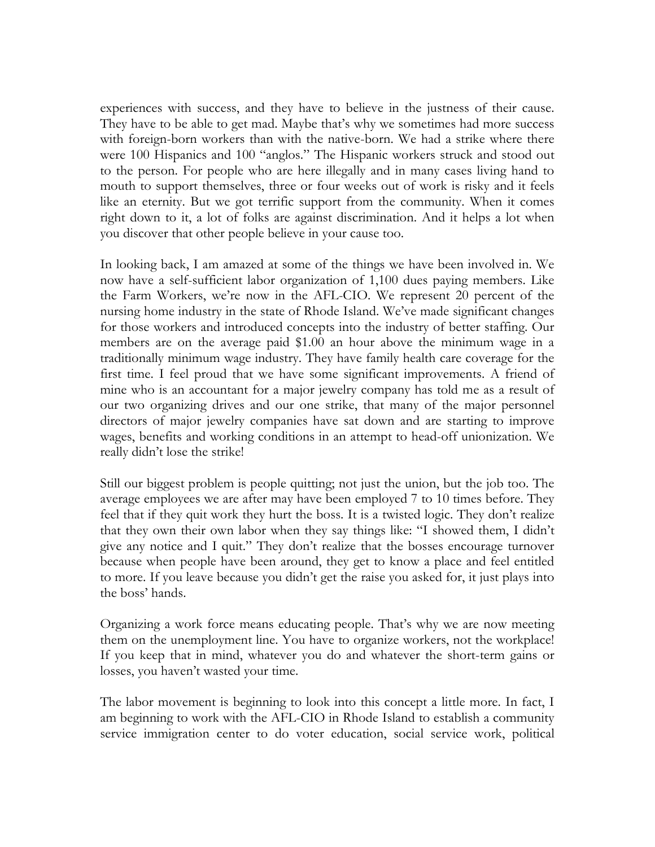experiences with success, and they have to believe in the justness of their cause. They have to be able to get mad. Maybe that's why we sometimes had more success with foreign-born workers than with the native-born. We had a strike where there were 100 Hispanics and 100 "anglos." The Hispanic workers struck and stood out to the person. For people who are here illegally and in many cases living hand to mouth to support themselves, three or four weeks out of work is risky and it feels like an eternity. But we got terrific support from the community. When it comes right down to it, a lot of folks are against discrimination. And it helps a lot when you discover that other people believe in your cause too.

In looking back, I am amazed at some of the things we have been involved in. We now have a self-sufficient labor organization of 1,100 dues paying members. Like the Farm Workers, we're now in the AFL-CIO. We represent 20 percent of the nursing home industry in the state of Rhode Island. We've made significant changes for those workers and introduced concepts into the industry of better staffing. Our members are on the average paid \$1.00 an hour above the minimum wage in a traditionally minimum wage industry. They have family health care coverage for the first time. I feel proud that we have some significant improvements. A friend of mine who is an accountant for a major jewelry company has told me as a result of our two organizing drives and our one strike, that many of the major personnel directors of major jewelry companies have sat down and are starting to improve wages, benefits and working conditions in an attempt to head-off unionization. We really didn't lose the strike!

Still our biggest problem is people quitting; not just the union, but the job too. The average employees we are after may have been employed 7 to 10 times before. They feel that if they quit work they hurt the boss. It is a twisted logic. They don't realize that they own their own labor when they say things like: "I showed them, I didn't give any notice and I quit." They don't realize that the bosses encourage turnover because when people have been around, they get to know a place and feel entitled to more. If you leave because you didn't get the raise you asked for, it just plays into the boss' hands.

Organizing a work force means educating people. That's why we are now meeting them on the unemployment line. You have to organize workers, not the workplace! If you keep that in mind, whatever you do and whatever the short-term gains or losses, you haven't wasted your time.

The labor movement is beginning to look into this concept a little more. In fact, I am beginning to work with the AFL-CIO in Rhode Island to establish a community service immigration center to do voter education, social service work, political